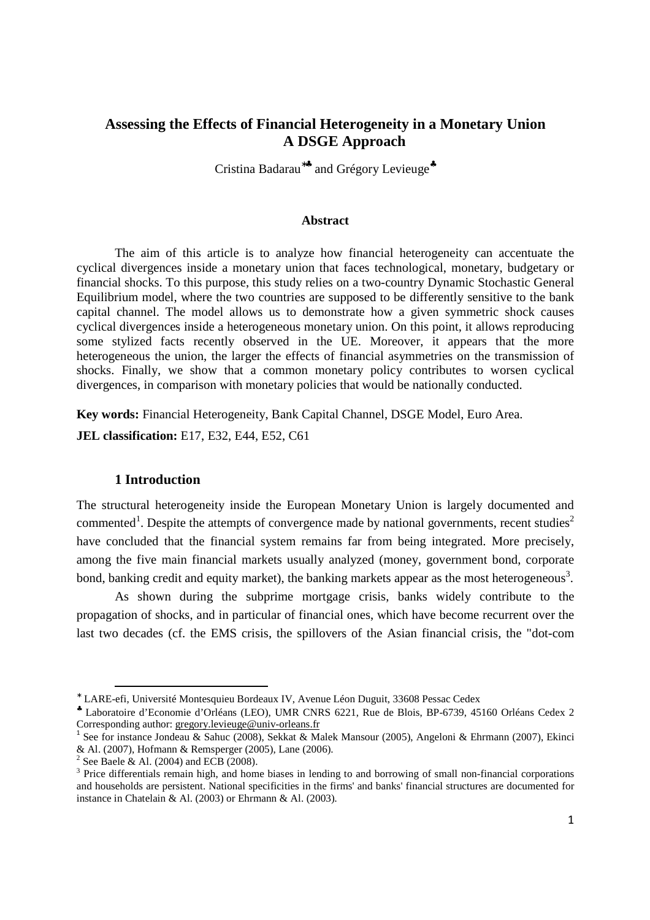## **Assessing the Effects of Financial Heterogeneity in a Monetary Union A DSGE Approach**

Cristina Badarau<sup>\*</sup><sup>★</sup> and Grégory Levieuge<sup>★</sup>

#### **Abstract**

The aim of this article is to analyze how financial heterogeneity can accentuate the cyclical divergences inside a monetary union that faces technological, monetary, budgetary or financial shocks. To this purpose, this study relies on a two-country Dynamic Stochastic General Equilibrium model, where the two countries are supposed to be differently sensitive to the bank capital channel. The model allows us to demonstrate how a given symmetric shock causes cyclical divergences inside a heterogeneous monetary union. On this point, it allows reproducing some stylized facts recently observed in the UE. Moreover, it appears that the more heterogeneous the union, the larger the effects of financial asymmetries on the transmission of shocks. Finally, we show that a common monetary policy contributes to worsen cyclical divergences, in comparison with monetary policies that would be nationally conducted.

**Key words:** Financial Heterogeneity, Bank Capital Channel, DSGE Model, Euro Area. **JEL classification:** E17, E32, E44, E52, C61

#### **1 Introduction**

The structural heterogeneity inside the European Monetary Union is largely documented and commented<sup>1</sup>. Despite the attempts of convergence made by national governments, recent studies<sup>2</sup> have concluded that the financial system remains far from being integrated. More precisely, among the five main financial markets usually analyzed (money, government bond, corporate bond, banking credit and equity market), the banking markets appear as the most heterogeneous<sup>3</sup>.

As shown during the subprime mortgage crisis, banks widely contribute to the propagation of shocks, and in particular of financial ones, which have become recurrent over the last two decades (cf. the EMS crisis, the spillovers of the Asian financial crisis, the "dot-com

<sup>∗</sup> LARE-efi, Université Montesquieu Bordeaux IV, Avenue Léon Duguit, 33608 Pessac Cedex

<sup>♣</sup> Laboratoire d'Economie d'Orléans (LEO), UMR CNRS 6221, Rue de Blois, BP-6739, 45160 Orléans Cedex 2 Corresponding author: gregory.levieuge@univ-orleans.fr

<sup>&</sup>lt;sup>1</sup> See for instance Jondeau & Sahuc (2008), Sekkat & Malek Mansour (2005), Angeloni & Ehrmann (2007), Ekinci & Al. (2007), Hofmann & Remsperger (2005), Lane (2006).

<sup>&</sup>lt;sup>2</sup> See Baele & Al. (2004) and ECB (2008).

<sup>&</sup>lt;sup>3</sup> Price differentials remain high, and home biases in lending to and borrowing of small non-financial corporations and households are persistent. National specificities in the firms' and banks' financial structures are documented for instance in Chatelain & Al. (2003) or Ehrmann & Al. (2003)*.*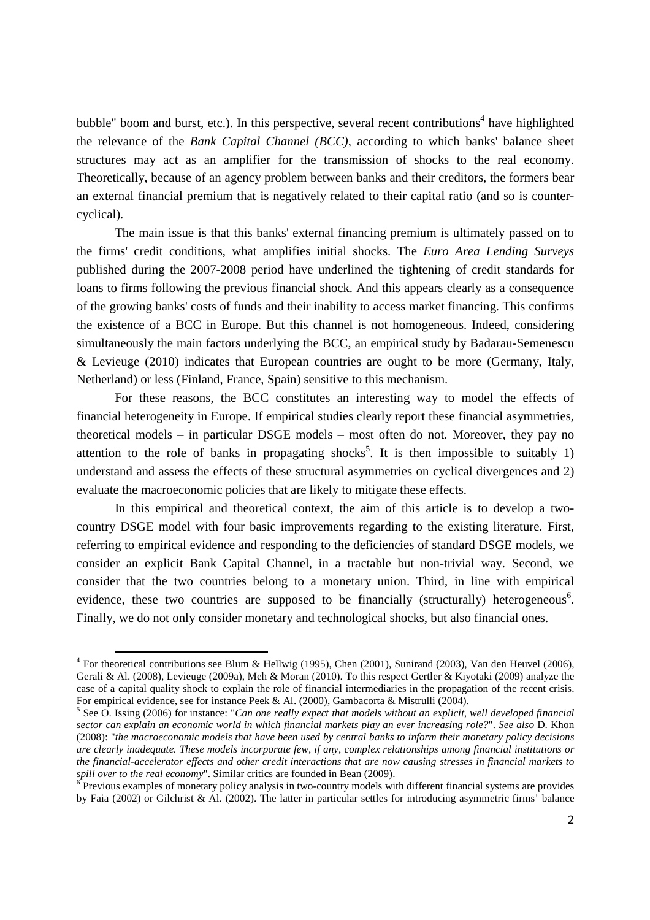bubble" boom and burst, etc.). In this perspective, several recent contributions<sup>4</sup> have highlighted the relevance of the *Bank Capital Channel (BCC)*, according to which banks' balance sheet structures may act as an amplifier for the transmission of shocks to the real economy. Theoretically, because of an agency problem between banks and their creditors, the formers bear an external financial premium that is negatively related to their capital ratio (and so is countercyclical).

The main issue is that this banks' external financing premium is ultimately passed on to the firms' credit conditions, what amplifies initial shocks. The *Euro Area Lending Surveys* published during the 2007-2008 period have underlined the tightening of credit standards for loans to firms following the previous financial shock. And this appears clearly as a consequence of the growing banks' costs of funds and their inability to access market financing. This confirms the existence of a BCC in Europe. But this channel is not homogeneous. Indeed, considering simultaneously the main factors underlying the BCC, an empirical study by Badarau-Semenescu & Levieuge (2010) indicates that European countries are ought to be more (Germany, Italy, Netherland) or less (Finland, France, Spain) sensitive to this mechanism.

For these reasons, the BCC constitutes an interesting way to model the effects of financial heterogeneity in Europe. If empirical studies clearly report these financial asymmetries, theoretical models – in particular DSGE models – most often do not. Moreover, they pay no attention to the role of banks in propagating shocks<sup>5</sup>. It is then impossible to suitably 1) understand and assess the effects of these structural asymmetries on cyclical divergences and 2) evaluate the macroeconomic policies that are likely to mitigate these effects.

In this empirical and theoretical context, the aim of this article is to develop a twocountry DSGE model with four basic improvements regarding to the existing literature. First, referring to empirical evidence and responding to the deficiencies of standard DSGE models, we consider an explicit Bank Capital Channel, in a tractable but non-trivial way. Second, we consider that the two countries belong to a monetary union. Third, in line with empirical evidence, these two countries are supposed to be financially (structurally) heterogeneous<sup>6</sup>. Finally, we do not only consider monetary and technological shocks, but also financial ones.

 $4$  For theoretical contributions see Blum & Hellwig (1995), Chen (2001), Sunirand (2003), Van den Heuvel (2006), Gerali & Al. (2008), Levieuge (2009a), Meh & Moran (2010). To this respect Gertler & Kiyotaki (2009) analyze the case of a capital quality shock to explain the role of financial intermediaries in the propagation of the recent crisis. For empirical evidence, see for instance Peek & Al. (2000), Gambacorta & Mistrulli (2004).

<sup>5</sup> See O. Issing (2006) for instance: "*Can one really expect that models without an explicit, well developed financial sector can explain an economic world in which financial markets play an ever increasing role?*". *See also* D. Khon (2008): "*the macroeconomic models that have been used by central banks to inform their monetary policy decisions are clearly inadequate. These models incorporate few, if any, complex relationships among financial institutions or the financial-accelerator effects and other credit interactions that are now causing stresses in financial markets to*  spill over to the real economy". Similar critics are founded in Bean (2009).<br><sup>6</sup> Previous examples of monetary policy analysis in two-country models with different financial systems are provides

by Faia (2002) or Gilchrist & Al. (2002). The latter in particular settles for introducing asymmetric firms' balance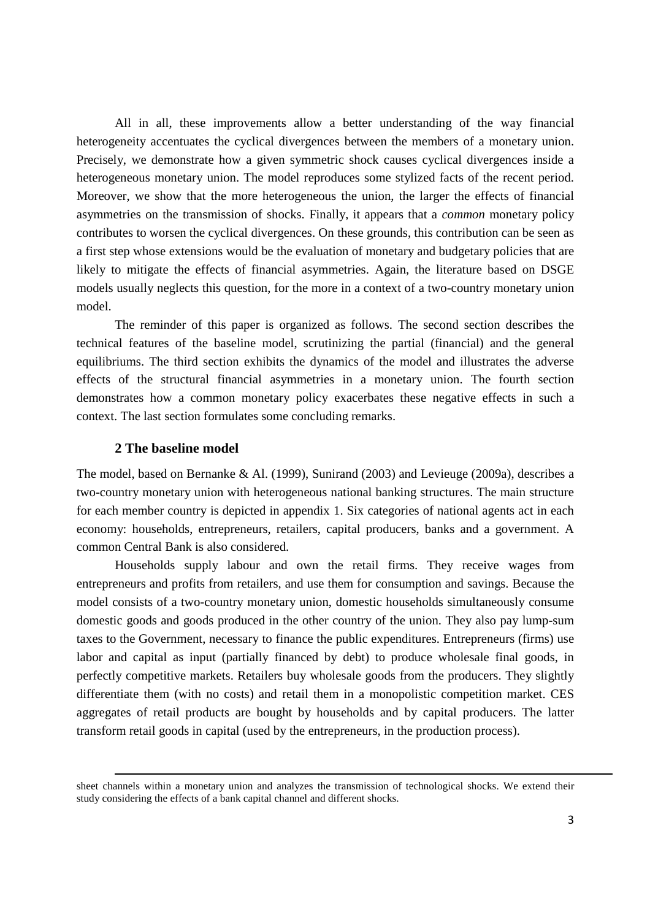All in all, these improvements allow a better understanding of the way financial heterogeneity accentuates the cyclical divergences between the members of a monetary union. Precisely, we demonstrate how a given symmetric shock causes cyclical divergences inside a heterogeneous monetary union. The model reproduces some stylized facts of the recent period. Moreover, we show that the more heterogeneous the union, the larger the effects of financial asymmetries on the transmission of shocks. Finally, it appears that a *common* monetary policy contributes to worsen the cyclical divergences. On these grounds, this contribution can be seen as a first step whose extensions would be the evaluation of monetary and budgetary policies that are likely to mitigate the effects of financial asymmetries. Again, the literature based on DSGE models usually neglects this question, for the more in a context of a two-country monetary union model.

The reminder of this paper is organized as follows. The second section describes the technical features of the baseline model, scrutinizing the partial (financial) and the general equilibriums. The third section exhibits the dynamics of the model and illustrates the adverse effects of the structural financial asymmetries in a monetary union. The fourth section demonstrates how a common monetary policy exacerbates these negative effects in such a context. The last section formulates some concluding remarks.

#### **2 The baseline model**

ׇ֬֒

The model, based on Bernanke & Al. (1999), Sunirand (2003) and Levieuge (2009a), describes a two-country monetary union with heterogeneous national banking structures. The main structure for each member country is depicted in appendix 1. Six categories of national agents act in each economy: households, entrepreneurs, retailers, capital producers, banks and a government. A common Central Bank is also considered.

Households supply labour and own the retail firms. They receive wages from entrepreneurs and profits from retailers, and use them for consumption and savings. Because the model consists of a two-country monetary union, domestic households simultaneously consume domestic goods and goods produced in the other country of the union. They also pay lump-sum taxes to the Government, necessary to finance the public expenditures. Entrepreneurs (firms) use labor and capital as input (partially financed by debt) to produce wholesale final goods, in perfectly competitive markets. Retailers buy wholesale goods from the producers. They slightly differentiate them (with no costs) and retail them in a monopolistic competition market. CES aggregates of retail products are bought by households and by capital producers. The latter transform retail goods in capital (used by the entrepreneurs, in the production process).

sheet channels within a monetary union and analyzes the transmission of technological shocks. We extend their study considering the effects of a bank capital channel and different shocks.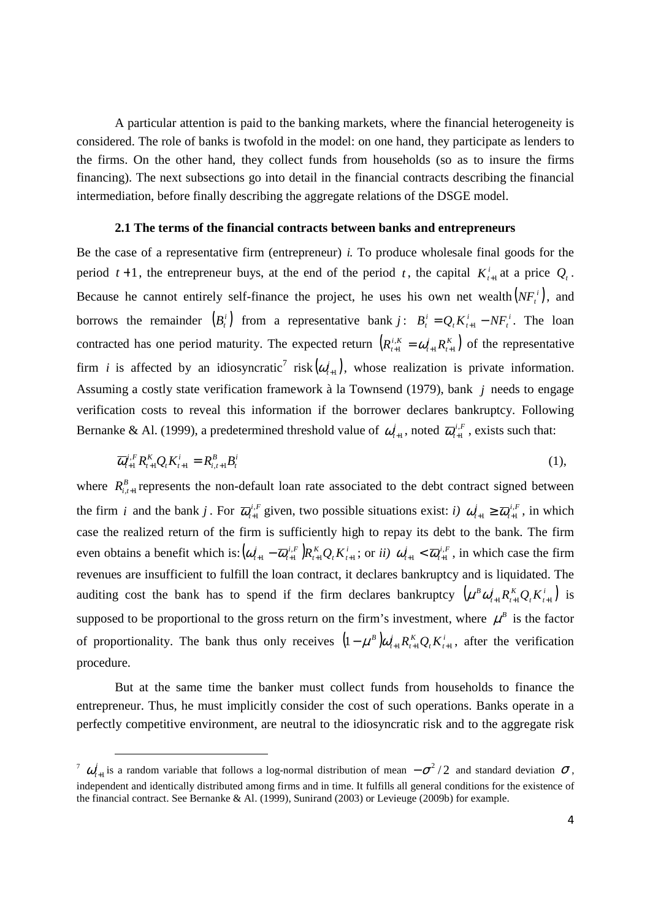A particular attention is paid to the banking markets, where the financial heterogeneity is considered. The role of banks is twofold in the model: on one hand, they participate as lenders to the firms. On the other hand, they collect funds from households (so as to insure the firms financing). The next subsections go into detail in the financial contracts describing the financial intermediation, before finally describing the aggregate relations of the DSGE model.

#### **2.1 The terms of the financial contracts between banks and entrepreneurs**

Be the case of a representative firm (entrepreneur) *i.* To produce wholesale final goods for the period  $t+1$ , the entrepreneur buys, at the end of the period  $t$ , the capital  $K_{t+1}^i$  at a price  $Q_t$ . Because he cannot entirely self-finance the project, he uses his own net wealth  $(NF_t^i)$ , and borrows the remainder  $(B_i^i)$  from a representative bank  $j: B_i^i = Q_i K_{i+1}^i - N F_i^i$ *i*  $B_t^i = Q_t K_{t+1}^i - N F_t^i$ . The loan contracted has one period maturity. The expected return  $(R_{t+1}^{i,K} = \omega_{t+1}^i R_{t+1}^K)$ *t i*  $R_{t+1}^{i,K} = \omega_{t+1}^i R_{t+1}^K$  of the representative firm *i* is affected by an idiosyncratic<sup>7</sup> risk $(\omega_{i+1}^i)$ , whose realization is private information. Assuming a costly state verification framework à la Townsend (1979), bank *j* needs to engage verification costs to reveal this information if the borrower declares bankruptcy. Following Bernanke & Al. (1999), a predetermined threshold value of  $\omega_{t+1}^i$ , noted  $\overline{\omega}_{t+1}^{i,F}$ , exists such that:

$$
\overline{\omega}_{t+1}^{i,F} R_{t+1}^K Q_t K_{t+1}^i = R_{i,t+1}^B B_t^i
$$
\n(1),

where  $R_{i,t+1}^B$  represents the non-default loan rate associated to the debt contract signed between the firm *i* and the bank *j*. For  $\overline{\omega}_{t+1}^{i,F}$  given, two possible situations exist: *i*)  $\omega_{t+1}^i \geq \overline{\omega}_{t+1}^{i,F}$ *i*  $\omega_{t+1}^i \geq \overline{\omega}_{t+1}^{i,F}$ , in which case the realized return of the firm is sufficiently high to repay its debt to the bank. The firm even obtains a benefit which is:  $(\omega_{t+1}^i - \overline{\omega}_{t+1}^{i,F})R_{t+1}^K Q_t K_t^i$  $t^{I\Lambda} t$ *K t i F t*  $\omega_{t+1}^i - \overline{\omega}_{t+1}^{i,F}$   $R_{t+1}^K Q_t K_{t+1}^i$ ; or *ii*)  $\omega_{t+1}^i < \overline{\omega}_{t+1}^{i,F}$ *i*  $\omega_{t+1}^i < \overline{\omega}_{t+1}^{i,F}$ , in which case the firm revenues are insufficient to fulfill the loan contract, it declares bankruptcy and is liquidated. The auditing cost the bank has to spend if the firm declares bankruptcy  $(\mu^B \omega_{t+1}^i R_{t+1}^K Q_t K_{t+1}^i)$  is supposed to be proportional to the gross return on the firm's investment, where  $\mu^B$  is the factor of proportionality. The bank thus only receives  $(1 - \mu^B) \omega_{t+1}^i R_{t+1}^K Q_t K_t^i$  $t^{I \cdot t}$ *K t i t*  $(1 - \mu^B) \omega_{t+1}^i R_{t+1}^K Q_t K_{t+1}^i$ , after the verification procedure.

But at the same time the banker must collect funds from households to finance the entrepreneur. Thus, he must implicitly consider the cost of such operations. Banks operate in a perfectly competitive environment, are neutral to the idiosyncratic risk and to the aggregate risk

l

 $\sigma$   $\omega_{t+1}^i$  is a random variable that follows a log-normal distribution of mean  $-\sigma^2/2$  and standard deviation  $\sigma$ , independent and identically distributed among firms and in time. It fulfills all general conditions for the existence of the financial contract. See Bernanke & Al. (1999), Sunirand (2003) or Levieuge (2009b) for example.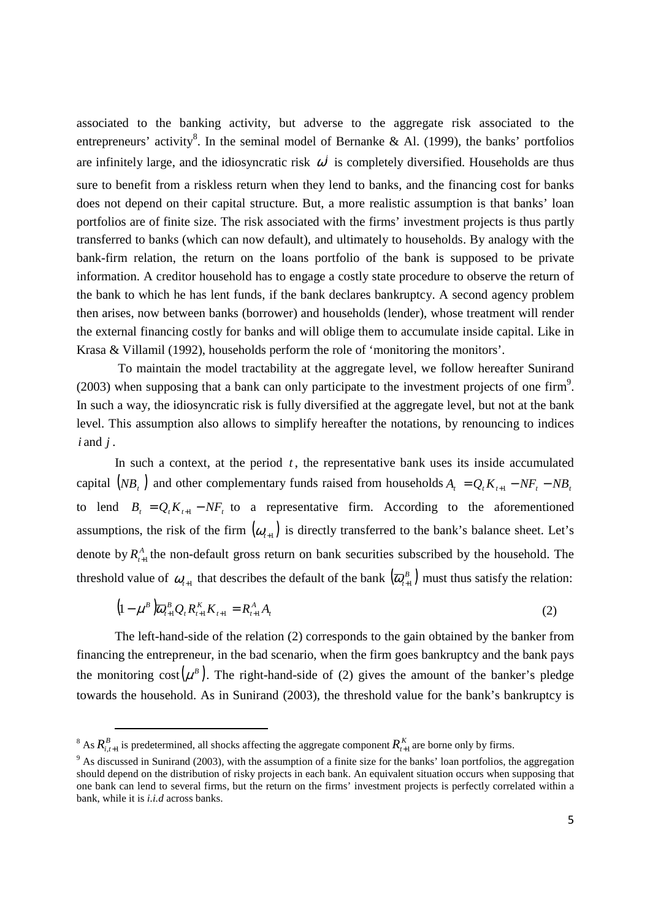associated to the banking activity, but adverse to the aggregate risk associated to the entrepreneurs' activity<sup>8</sup>. In the seminal model of Bernanke & Al. (1999), the banks' portfolios are infinitely large, and the idiosyncratic risk  $\omega^i$  is completely diversified. Households are thus sure to benefit from a riskless return when they lend to banks, and the financing cost for banks does not depend on their capital structure. But, a more realistic assumption is that banks' loan portfolios are of finite size. The risk associated with the firms' investment projects is thus partly transferred to banks (which can now default), and ultimately to households. By analogy with the bank-firm relation, the return on the loans portfolio of the bank is supposed to be private information. A creditor household has to engage a costly state procedure to observe the return of the bank to which he has lent funds, if the bank declares bankruptcy. A second agency problem then arises, now between banks (borrower) and households (lender), whose treatment will render the external financing costly for banks and will oblige them to accumulate inside capital. Like in Krasa & Villamil (1992), households perform the role of 'monitoring the monitors'.

 To maintain the model tractability at the aggregate level, we follow hereafter Sunirand  $(2003)$  when supposing that a bank can only participate to the investment projects of one firm<sup>9</sup>. In such a way, the idiosyncratic risk is fully diversified at the aggregate level, but not at the bank level. This assumption also allows to simplify hereafter the notations, by renouncing to indices *i* and *j* .

In such a context, at the period  $t$ , the representative bank uses its inside accumulated capital  $(NB_t)$  and other complementary funds raised from households  $A_t = Q_t K_{t+1} - N F_t - N B_t$ to lend  $B_t = Q_t K_{t+1} - N F_t$  to a representative firm. According to the aforementioned assumptions, the risk of the firm  $(\omega_{t+1})$  is directly transferred to the bank's balance sheet. Let's denote by  $R_{t+1}^A$  the non-default gross return on bank securities subscribed by the household. The threshold value of  $\omega_{t+1}$  that describes the default of the bank  $(\overline{\omega}_{t+1}^B)$  must thus satisfy the relation:

$$
(1 - \mu^B) \overline{\omega}_{t+1}^B Q_t R_{t+1}^K K_{t+1} = R_{t+1}^A A_t
$$
 (2)

The left-hand-side of the relation (2) corresponds to the gain obtained by the banker from financing the entrepreneur, in the bad scenario, when the firm goes bankruptcy and the bank pays the monitoring cost  $(\mu^B)$ . The right-hand-side of (2) gives the amount of the banker's pledge towards the household. As in Sunirand (2003), the threshold value for the bank's bankruptcy is

<sup>&</sup>lt;sup>8</sup> As  $R_{i,i+1}^B$  is predetermined, all shocks affecting the aggregate component  $R_{i+1}^K$  are borne only by firms.

<sup>&</sup>lt;sup>9</sup> As discussed in Sunirand (2003), with the assumption of a finite size for the banks' loan portfolios, the aggregation should depend on the distribution of risky projects in each bank. An equivalent situation occurs when supposing that one bank can lend to several firms, but the return on the firms' investment projects is perfectly correlated within a bank, while it is *i.i.d* across banks.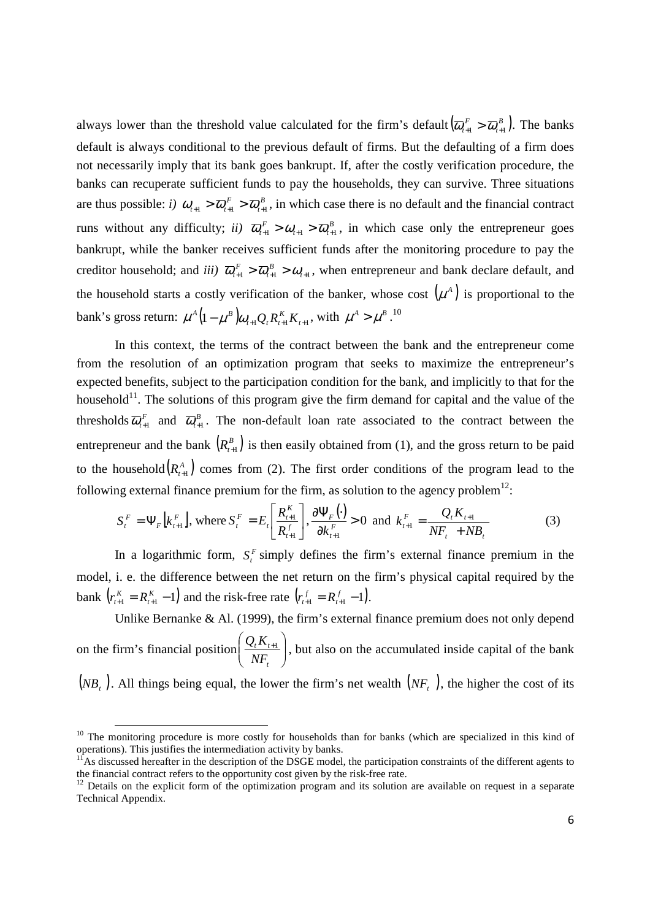always lower than the threshold value calculated for the firm's default  $(\overline{\omega}_{t+1}^F > \overline{\omega}_{t+1}^B)$ .  $\left(\overline{\omega}_{t+1}^F > \overline{\omega}_{t+1}^B\right)$ . The banks default is always conditional to the previous default of firms. But the defaulting of a firm does not necessarily imply that its bank goes bankrupt. If, after the costly verification procedure, the banks can recuperate sufficient funds to pay the households, they can survive. Three situations are thus possible: *i*)  $\omega_{t+1} > \overline{\omega}_{t+1}^F > \overline{\omega}_{t+1}^B$ , in which case there is no default and the financial contract runs without any difficulty; *ii*)  $\overline{\omega}_{t+1}^F > \omega_{t+1} > \overline{\omega}_{t+1}^B$ , in which case only the entrepreneur goes bankrupt, while the banker receives sufficient funds after the monitoring procedure to pay the creditor household; and *iii*)  $\overline{\omega}_{t+1}^F > \overline{\omega}_{t+1}^B > \omega_{t+1}$  $\overline{\omega}_{t+1}^F > \overline{\omega}_{t+1}^B > \omega_{t+1}$ , when entrepreneur and bank declare default, and the household starts a costly verification of the banker, whose cost  $(\mu^A)$  is proportional to the bank's gross return:  $\mu^A (1 - \mu^B) \omega_{t+1} Q_t R_{t+1}^K K_{t+1}$  $\mu^{A} (1 - \mu^{B}) \omega_{t+1} Q_{t} R_{t+1}^{K} K_{t+1}$ , with  $\mu^{A} > \mu^{B}$ .<sup>10</sup>

In this context, the terms of the contract between the bank and the entrepreneur come from the resolution of an optimization program that seeks to maximize the entrepreneur's expected benefits, subject to the participation condition for the bank, and implicitly to that for the household $11$ . The solutions of this program give the firm demand for capital and the value of the thresholds  $\overline{\omega}_{t+1}^F$  and  $\overline{\omega}_{t+1}^B$ . The non-default loan rate associated to the contract between the entrepreneur and the bank  $(R_{t+1}^B)$  is then easily obtained from (1), and the gross return to be paid to the household  $(R_{n+1}^A)$  comes from (2). The first order conditions of the program lead to the following external finance premium for the firm, as solution to the agency problem $^{12}$ :

$$
S_t^F = \Psi_F \left[ k_{t+1}^F \right], \text{ where } S_t^F = E_t \left[ \frac{R_{t+1}^K}{R_{t+1}^f} \right], \frac{\partial \Psi_F(\cdot)}{\partial k_{t+1}^F} > 0 \text{ and } k_{t+1}^F = \frac{Q_t K_{t+1}}{N F_t + N B_t} \tag{3}
$$

In a logarithmic form,  $S_t^F$  simply defines the firm's external finance premium in the model, i. e. the difference between the net return on the firm's physical capital required by the  $\text{bank}$   $\left( r_{t+1}^K = R_{t+1}^K - 1 \right)$ *t*  $r_{t+1}^K = R_{t+1}^K - 1$  and the risk-free rate  $(r_{t+1}^f = R_{t+1}^f - 1)$ . *t*  $r_{t+1}^f = R_{t+1}^f - 1.$ 

Unlike Bernanke & Al. (1999), the firm's external finance premium does not only depend on the firm's financial position  $\frac{Q_t \Lambda_{t+1}}{N}$ J )  $\overline{\phantom{a}}$ l  $\int Q_{\iota} K_{\iota +}$ *t*  $t^{I\Lambda}t$ *NF*  $\left( \frac{Q_i K_{i+1}}{Z_i} \right)$ , but also on the accumulated inside capital of the bank  $(NB<sub>t</sub>)$ . All things being equal, the lower the firm's net wealth  $(NF<sub>t</sub>)$ , the higher the cost of its

<sup>&</sup>lt;sup>10</sup> The monitoring procedure is more costly for households than for banks (which are specialized in this kind of operations). This justifies the intermediation activity by banks.

<sup>11</sup>As discussed hereafter in the description of the DSGE model*,* the participation constraints of the different agents to the financial contract refers to the opportunity cost given by the risk-free rate.

<sup>&</sup>lt;sup>12</sup> Details on the explicit form of the optimization program and its solution are available on request in a separate Technical Appendix.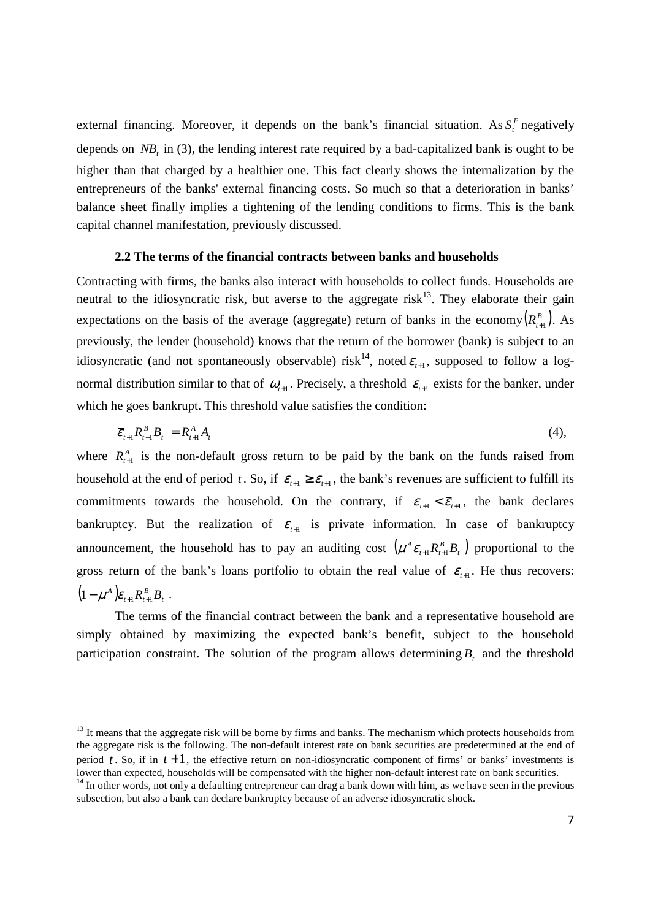external financing. Moreover, it depends on the bank's financial situation. As  $S_t^F$  negatively depends on *NB<sup>t</sup>* in (3), the lending interest rate required by a bad-capitalized bank is ought to be higher than that charged by a healthier one. This fact clearly shows the internalization by the entrepreneurs of the banks' external financing costs. So much so that a deterioration in banks' balance sheet finally implies a tightening of the lending conditions to firms. This is the bank capital channel manifestation, previously discussed.

#### **2.2 The terms of the financial contracts between banks and households**

Contracting with firms, the banks also interact with households to collect funds. Households are neutral to the idiosyncratic risk, but averse to the aggregate  $risk<sup>13</sup>$ . They elaborate their gain expectations on the basis of the average (aggregate) return of banks in the economy  $(R_{i+1}^B)$ . As previously, the lender (household) knows that the return of the borrower (bank) is subject to an idiosyncratic (and not spontaneously observable) risk<sup>14</sup>, noted  $\varepsilon_{t+1}$ , supposed to follow a lognormal distribution similar to that of  $\omega_{t+1}$ . Precisely, a threshold  $\bar{\varepsilon}_{t+1}$  exists for the banker, under which he goes bankrupt. This threshold value satisfies the condition:

$$
\overline{\mathcal{E}}_{t+1} R_{t+1}^B B_t = R_{t+1}^A A_t \tag{4}
$$

where  $R_{t+1}^A$  is the non-default gross return to be paid by the bank on the funds raised from household at the end of period t. So, if  $\varepsilon_{t+1} \ge \overline{\varepsilon}_{t+1}$ , the bank's revenues are sufficient to fulfill its commitments towards the household. On the contrary, if  $\varepsilon_{t+1} < \overline{\varepsilon}_{t+1}$ , the bank declares bankruptcy. But the realization of  $\varepsilon_{t+1}$  is private information. In case of bankruptcy announcement, the household has to pay an auditing cost  $(\mu^A \varepsilon_{t+1} R_{t+1}^B B_t)$  $\mu^A \varepsilon_{t+1} R_{t+1}^B B_t$  proportional to the gross return of the bank's loans portfolio to obtain the real value of  $\varepsilon_{t+1}$ . He thus recovers:  $(1 - \mu^A) \varepsilon_{t+1} R_{t+1}^B B_t$ .

The terms of the financial contract between the bank and a representative household are simply obtained by maximizing the expected bank's benefit, subject to the household participation constraint. The solution of the program allows determining  $B<sub>t</sub>$  and the threshold

 $\overline{a}$ 

 $13$  It means that the aggregate risk will be borne by firms and banks. The mechanism which protects households from the aggregate risk is the following. The non-default interest rate on bank securities are predetermined at the end of period  $t$ . So, if in  $t+1$ , the effective return on non-idiosyncratic component of firms' or banks' investments is lower than expected, households will be compensated with the higher non-default interest rate on bank securities.

<sup>&</sup>lt;sup>14</sup> In other words, not only a defaulting entrepreneur can drag a bank down with him, as we have seen in the previous subsection, but also a bank can declare bankruptcy because of an adverse idiosyncratic shock.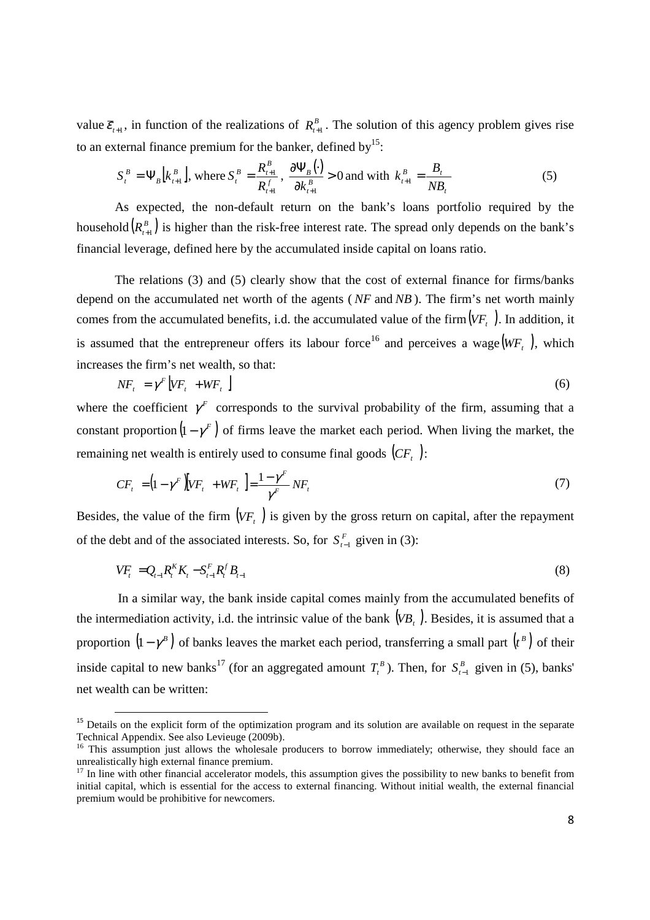value  $\bar{\varepsilon}_{t+1}$ , in function of the realizations of  $R_{t+1}^B$ . The solution of this agency problem gives rise to an external finance premium for the banker, defined by  $15$ :

$$
S_t^B = \Psi_B \left[ k_{t+1}^B \right], \text{ where } S_t^B = \frac{R_{t+1}^B}{R_{t+1}^f}, \frac{\partial \Psi_B(\cdot)}{\partial k_{t+1}^B} > 0 \text{ and with } k_{t+1}^B = \frac{B_t}{NB_t}
$$
 (5)

As expected, the non-default return on the bank's loans portfolio required by the household  $(R_{t+1}^B)$  is higher than the risk-free interest rate. The spread only depends on the bank's financial leverage, defined here by the accumulated inside capital on loans ratio.

The relations (3) and (5) clearly show that the cost of external finance for firms/banks depend on the accumulated net worth of the agents ( *NF* and *NB* ). The firm's net worth mainly comes from the accumulated benefits, i.d. the accumulated value of the firm  $(VF_t)$ . In addition, it is assumed that the entrepreneur offers its labour force<sup>16</sup> and perceives a wage  $(WF_t)$ , which increases the firm's net wealth, so that:

$$
NF_t = \gamma^F \left[ VF_t + WF_t \right] \tag{6}
$$

where the coefficient  $\gamma^F$  corresponds to the survival probability of the firm, assuming that a constant proportion  $(1 - \gamma^F)$  of firms leave the market each period. When living the market, the remaining net wealth is entirely used to consume final goods  $(CF<sub>t</sub>)$ :

$$
CF_t = \left(1 - \gamma^F\right)\left[VF_t + WF_t\right] = \frac{1 - \gamma^F}{\gamma^F}NF_t \tag{7}
$$

Besides, the value of the firm  $(VF_t)$  is given by the gross return on capital, after the repayment of the debt and of the associated interests. So, for  $S_{t-1}^F$  given in (3):

$$
VF_{t} = Q_{t-1}R_{t}^{K}K_{t} - S_{t-1}^{F}R_{t}^{f}B_{t-1}
$$
\n(8)

 In a similar way, the bank inside capital comes mainly from the accumulated benefits of the intermediation activity, i.d. the intrinsic value of the bank  $(VB_t)$ . Besides, it is assumed that a proportion  $(1 - \gamma^B)$  of banks leaves the market each period, transferring a small part  $(r^B)$  of their inside capital to new banks<sup>17</sup> (for an aggregated amount  $T_t^B$ ). Then, for  $S_{t-1}^B$  given in (5), banks' net wealth can be written:

ׇ֬֒

 $15$  Details on the explicit form of the optimization program and its solution are available on request in the separate Technical Appendix. See also Levieuge (2009b).

<sup>&</sup>lt;sup>16</sup> This assumption just allows the wholesale producers to borrow immediately; otherwise, they should face an unrealistically high external finance premium.

 $17$  In line with other financial accelerator models, this assumption gives the possibility to new banks to benefit from initial capital, which is essential for the access to external financing. Without initial wealth, the external financial premium would be prohibitive for newcomers.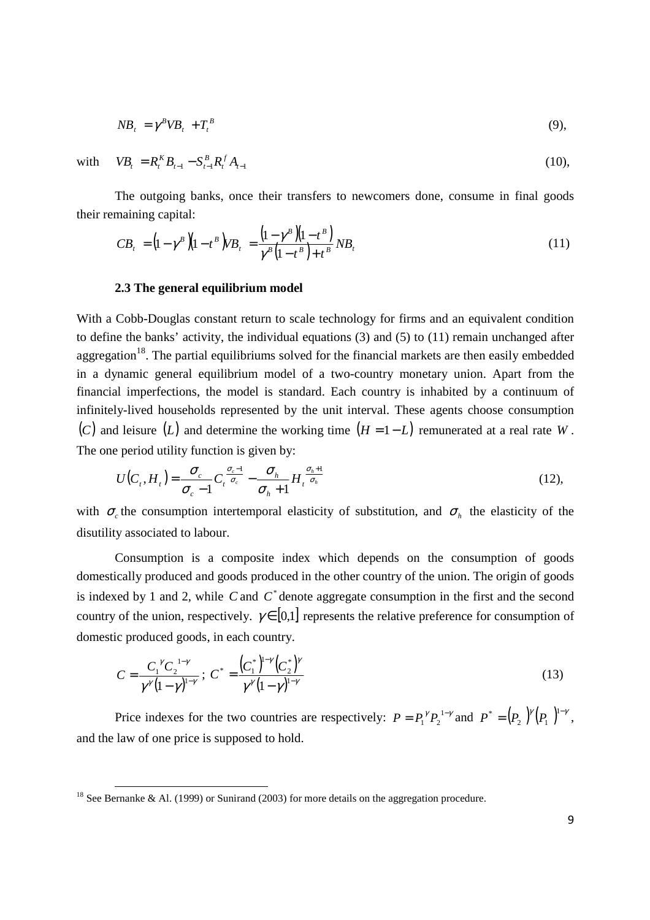$$
NB_t = \gamma^B V B_t + T_t^B \tag{9},
$$

with  $VB_t = R_t^K B_{t-1} - S_{t-1}^B R_t^K A_{t-1}$  $VB_t = R_t^K B_{t-1} - S_{t-1}^B R_t^K A_{t-1}$  (10),

֬֒

The outgoing banks, once their transfers to newcomers done, consume in final goods their remaining capital:

$$
CB_{t} = (1 - \gamma^{B})(1 - t^{B})VB_{t} = \frac{(1 - \gamma^{B})(1 - t^{B})}{\gamma^{B}(1 - t^{B}) + t^{B}}NB_{t}
$$
\n(11)

#### **2.3 The general equilibrium model**

*t B*

With a Cobb-Douglas constant return to scale technology for firms and an equivalent condition to define the banks' activity, the individual equations (3) and (5) to (11) remain unchanged after aggregation<sup>18</sup>. The partial equilibriums solved for the financial markets are then easily embedded in a dynamic general equilibrium model of a two-country monetary union. Apart from the financial imperfections, the model is standard. Each country is inhabited by a continuum of infinitely-lived households represented by the unit interval. These agents choose consumption (*C*) and leisure (*L*) and determine the working time  $(H = 1 - L)$  remunerated at a real rate *W*. The one period utility function is given by:

$$
U(C_t, H_t) = \frac{\sigma_c}{\sigma_c - 1} C_t^{\frac{\sigma_c - 1}{\sigma_c}} - \frac{\sigma_h}{\sigma_h + 1} H_t^{\frac{\sigma_h + 1}{\sigma_h}}
$$
(12),

with  $\sigma_c$  the consumption intertemporal elasticity of substitution, and  $\sigma_h$  the elasticity of the disutility associated to labour.

Consumption is a composite index which depends on the consumption of goods domestically produced and goods produced in the other country of the union. The origin of goods is indexed by 1 and 2, while  $C$  and  $C^*$  denote aggregate consumption in the first and the second country of the union, respectively.  $\gamma \in [0,1]$  represents the relative preference for consumption of domestic produced goods, in each country.

$$
C = \frac{C_1^{\gamma} C_2^{1-\gamma}}{\gamma^{\gamma} (1-\gamma)^{1-\gamma}}; \ C^* = \frac{(C_1^*)^{1-\gamma} (C_2^*)^{\gamma}}{\gamma^{\gamma} (1-\gamma)^{1-\gamma}}
$$
(13)

Price indexes for the two countries are respectively:  $P = P_1^{\gamma} P_2^{1-\gamma}$  and  $P^* = (P_2)^{\gamma} (P_1)^{1-\gamma}$  $P^* = (P_2)^{\gamma}(P_1)^{1-\gamma},$ and the law of one price is supposed to hold.

<sup>&</sup>lt;sup>18</sup> See Bernanke & Al. (1999) or Sunirand (2003) for more details on the aggregation procedure.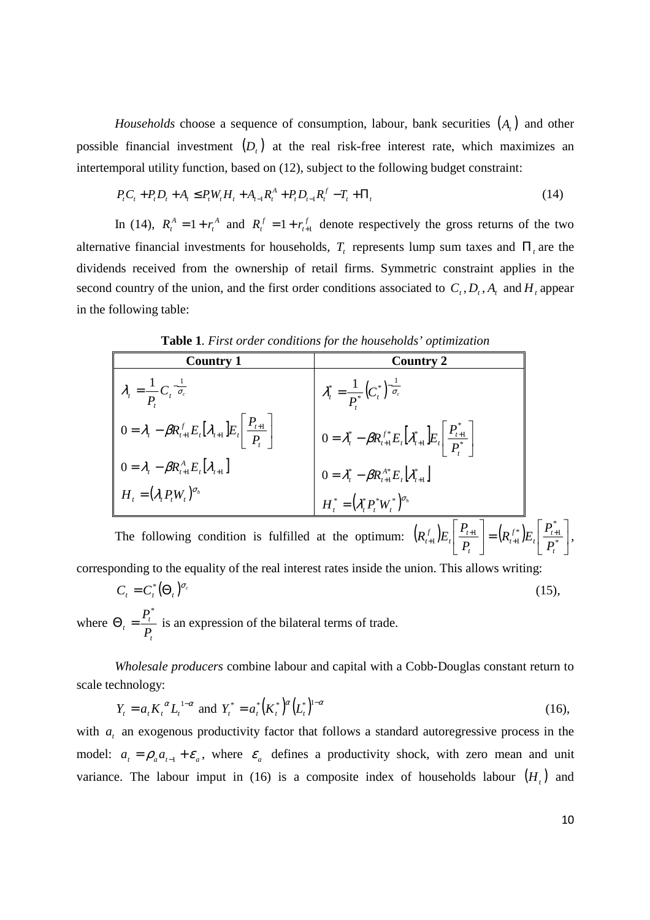*Households* choose a sequence of consumption, labour, bank securities  $(A_t)$  and other possible financial investment  $(D<sub>t</sub>)$  at the real risk-free interest rate, which maximizes an intertemporal utility function, based on (12), subject to the following budget constraint:

$$
P_{t}C_{t} + P_{t}D_{t} + A_{t} \le P_{t}W_{t}H_{t} + A_{t-1}R_{t}^{A} + P_{t}D_{t-1}R_{t}^{f} - T_{t} + \Pi_{t}
$$
\n
$$
\tag{14}
$$

In (14),  $R_t^A = 1 + r_t^A$  $R_t^A = 1 + r_t^A$  and  $R_t^f = 1 + r_{t+1}^f$  $R_t^f = 1 + r_{t+1}^f$  denote respectively the gross returns of the two alternative financial investments for households,  $T<sub>t</sub>$  represents lump sum taxes and  $\Pi<sub>t</sub>$  are the dividends received from the ownership of retail firms. Symmetric constraint applies in the second country of the union, and the first order conditions associated to  $C_t$ ,  $D_t$ ,  $A_t$  and  $H_t$  appear in the following table:

| <b>Country 1</b>                                                                                                             | <b>Country 2</b>                                                                                                                                                                    |
|------------------------------------------------------------------------------------------------------------------------------|-------------------------------------------------------------------------------------------------------------------------------------------------------------------------------------|
| $\lambda_t = \frac{1}{P} C_t^{-\frac{1}{\sigma_c}}$                                                                          | $\lambda_t^* = \frac{1}{P^*} (C_t^*)^{\frac{1}{\sigma_c}}$                                                                                                                          |
| $\left  0 = \lambda_{t} - \beta R_{t+1}^{f} E_{t} \left[ \lambda_{t+1} \right] E_{t} \right  \frac{P_{t+1}}{P_{t}}$          | $0 = \lambda_t^* - \beta R_{t+1}^{f*} E_t \left[ \lambda_{t+1}^* \right] E_t \left  \frac{P_{t+1}^*}{P^*} \right $                                                                  |
| $\begin{cases} 0=\lambda_{t}-\beta R_{t+1}^{A}E_{t}[\lambda_{t+1}] \ H_{t}=(\lambda_{t}P_{t}W_{t})^{\sigma_{h}} \end{cases}$ |                                                                                                                                                                                     |
|                                                                                                                              | $\begin{split} 0&=\mathcal{X}_t^*-\beta R_{t+1}^{A^*}E_t\Big[\mathcal{X}_{t+1}^*\Big]\ H_t^*&=\left(\mathcal{X}_t^*P_t^*W_t^*\right)^{\!\sigma_h} \end{split}$                      |
|                                                                                                                              | The following condition is fulfilled at the optimum: $\left(R_{t+1}^f\right)E_t\left(R_{t+1}^f\right)E_t\left(R_{t+1}^f\right)E_t\left(R_{t+1}^f\right)E_t\left(R_{t+1}^g\right)$ , |

**Table 1***. First order conditions for the households' optimization* 

corresponding to the equality of the real interest rates inside the union. This allows writing:

$$
C_t = C_t^* (\Theta_t)^{\sigma_c}
$$
  
(15),  
where  $\Theta_t = \frac{P_t^*}{P_t}$  is an expression of the bilateral terms of trade.

*Wholesale producers* combine labour and capital with a Cobb-Douglas constant return to scale technology:

$$
Y_t = a_t K_t^{\alpha} L_t^{1-\alpha} \text{ and } Y_t^* = a_t^* (K_t^*)^{\alpha} (L_t^*)^{1-\alpha}
$$
 (16),

with  $a_t$  an exogenous productivity factor that follows a standard autoregressive process in the model:  $a_t = \rho_a a_{t-1} + \varepsilon_a$ , where  $\varepsilon_a$  defines a productivity shock, with zero mean and unit variance. The labour imput in (16) is a composite index of households labour  $(H_t)$  and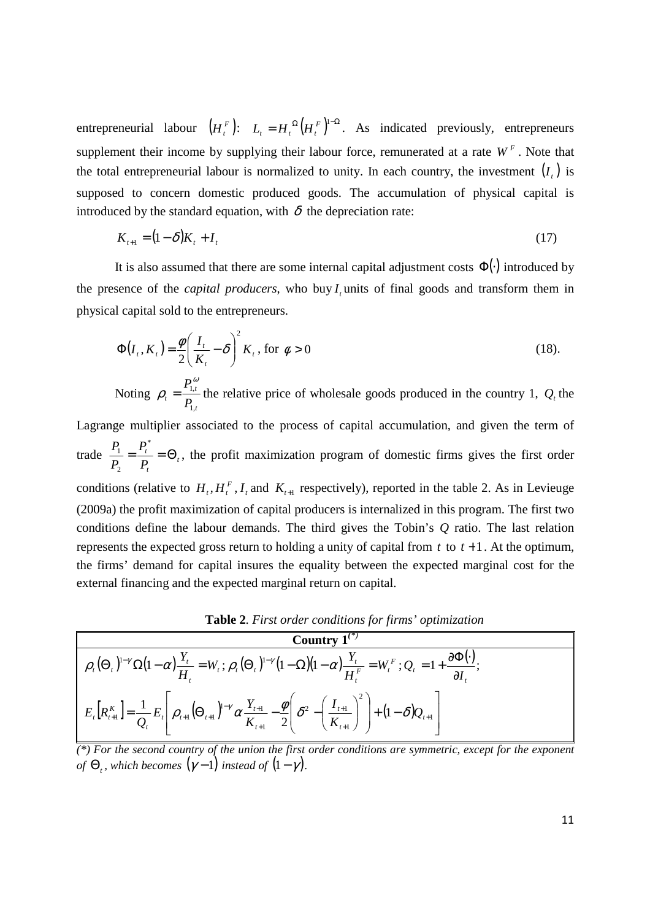entrepreneurial labour  $(H_t^F)$ :  $L_t = H_t^{\Omega} (H_t^F)^{1-\Omega}$ . As indicated previously, entrepreneurs supplement their income by supplying their labour force, remunerated at a rate  $W<sup>F</sup>$ . Note that the total entrepreneurial labour is normalized to unity. In each country, the investment  $(I_t)$  is supposed to concern domestic produced goods. The accumulation of physical capital is introduced by the standard equation, with  $\delta$  the depreciation rate:

$$
K_{t+1} = (1 - \delta)K_t + I_t
$$
\n(17)

It is also assumed that there are some internal capital adjustment costs  $\Phi(.)$  introduced by the presence of the *capital producers*, who buy  $I<sub>t</sub>$  units of final goods and transform them in physical capital sold to the entrepreneurs.

$$
\Phi(I_t, K_t) = \frac{\phi}{2} \left( \frac{I_t}{K_t} - \delta \right)^2 K_t, \text{ for } \phi > 0
$$
\n
$$
P_{1,t}^{\omega} \qquad (18)
$$

Noting *t t*  $^t$   $^ P_1$ ,1  $\rho_t = \frac{I_{1,t}}{R}$  the relative price of wholesale goods produced in the country 1,  $Q_t$  the

Lagrange multiplier associated to the process of capital accumulation, and given the term of trade  $\frac{r_1}{R_1} = \frac{r_t}{R_1} = \Theta_t$ *t t P P P*  $\frac{P_1}{P_2} = \frac{P_t^*}{P} = \Theta$ \* 2  $\frac{1}{n} = \frac{I_t}{n} = \Theta_t$ , the profit maximization program of domestic firms gives the first order conditions (relative to  $H_t$ ,  $H_t^F$ ,  $I_t$  and  $K_{t+1}$  respectively), reported in the table 2. As in Levieuge (2009a) the profit maximization of capital producers is internalized in this program. The first two conditions define the labour demands. The third gives the Tobin's *Q* ratio. The last relation represents the expected gross return to holding a unity of capital from  $t$  to  $t+1$ . At the optimum, the firms' demand for capital insures the equality between the expected marginal cost for the external financing and the expected marginal return on capital.

**Table 2***. First order conditions for firms' optimization* 

**Country 1**<sup>(\*)</sup>  
\n
$$
\rho_t(\Theta_t)^{1-\gamma} \Omega(1-\alpha) \frac{Y_t}{H_t} = W_t; \rho_t(\Theta_t)^{1-\gamma} (1-\Omega)(1-\alpha) \frac{Y_t}{H_t^F} = W_t^F; Q_t = 1 + \frac{\partial \Phi(\cdot)}{\partial I_t};
$$
\n
$$
E_t[R_{t+1}^K] = \frac{1}{Q_t} E_t \left[ \rho_{t+1} (\Theta_{t+1})^{1-\gamma} \alpha \frac{Y_{t+1}}{K_{t+1}} - \frac{\phi}{2} \left( \delta^2 - \left( \frac{I_{t+1}}{K_{t+1}} \right)^2 \right) + (1-\delta) Q_{t+1} \right]
$$

*(\*) For the second country of the union the first order conditions are symmetric, except for the exponent of*  $\Theta$ <sub>t</sub>, which becomes  $(\gamma - 1)$  instead of  $(1 - \gamma)$ .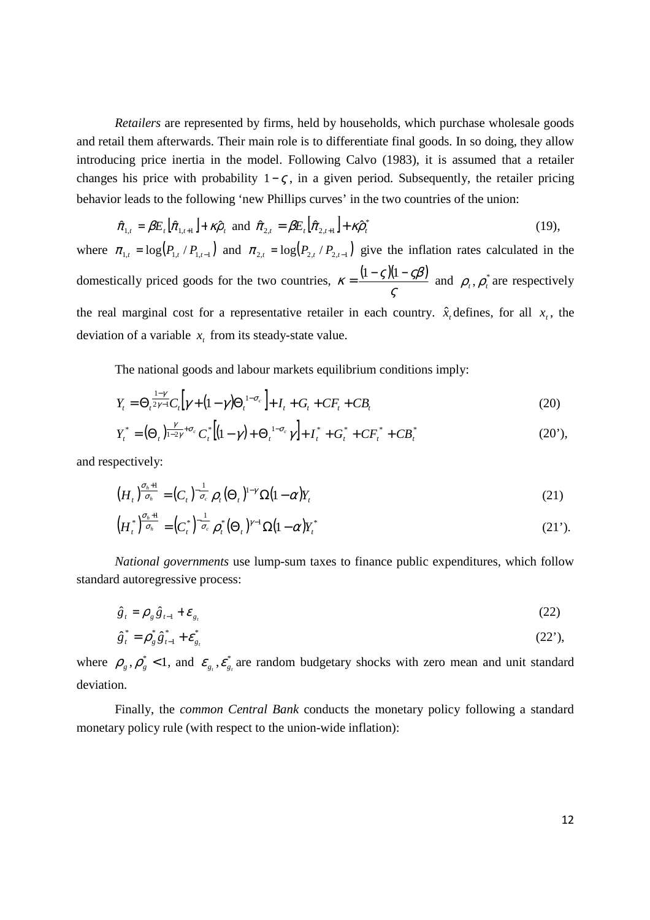*Retailers* are represented by firms, held by households, which purchase wholesale goods and retail them afterwards. Their main role is to differentiate final goods. In so doing, they allow introducing price inertia in the model. Following Calvo (1983), it is assumed that a retailer changes his price with probability  $1-\varsigma$ , in a given period. Subsequently, the retailer pricing behavior leads to the following 'new Phillips curves' in the two countries of the union:

$$
\hat{\pi}_{1,t} = \beta E_t \left[ \hat{\pi}_{1,t+1} \right] + \kappa \hat{\rho}_t \text{ and } \hat{\pi}_{2,t} = \beta E_t \left[ \hat{\pi}_{2,t+1} \right] + \kappa \hat{\rho}_t^* \tag{19}
$$

where  $\pi_{1,t} = \log(P_{1,t} / P_{1,t-1})$  and  $\pi_{2,t} = \log(P_{2,t} / P_{2,t-1})$  give the inflation rates calculated in the domestically priced goods for the two countries,  $\kappa = \frac{(1 - \varsigma)(1 - \varsigma \beta)}{(\frac{\varsigma}{\sigma})}$ ς  $\kappa = \frac{(1-\varsigma)(1-\varsigma\beta)}{2}$  and  $\rho_t$ ,  $\rho_t^*$  are respectively the real marginal cost for a representative retailer in each country.  $\hat{x}_t$  defines, for all  $x_t$ , the deviation of a variable  $x_t$  from its steady-state value.

The national goods and labour markets equilibrium conditions imply:

$$
Y_{t} = \Theta_{t}^{\frac{1-\gamma}{2\gamma-1}}C_{t} \Big[ \gamma + (1-\gamma)\Theta_{t}^{1-\sigma_{c}} \Big] + I_{t} + G_{t} + CF_{t} + CB_{t}
$$
\n(20)

$$
Y_t^* = (\Theta_t)^{\frac{\gamma}{1-2\gamma} + \sigma_c} C_t^* \left[ (1-\gamma) + \Theta_t^{-1-\sigma_c} \gamma \right] + I_t^* + G_t^* + CF_t^* + CB_t^* \tag{20'},
$$

and respectively:

$$
\left(H_t\right)^{\frac{\sigma_h+1}{\sigma_h}} = \left(C_t\right)^{-\frac{1}{\sigma_c}} \rho_t \left(\Theta_t\right)^{1-\gamma} \Omega \left(1-\alpha\right) Y_t \tag{21}
$$

$$
\left(H_t^*\right)^{\sigma_h+1} = \left(C_t^*\right)^{-1} \overline{\sigma_t} \rho_t^* \left(\Theta_t\right)^{\gamma-1} \Omega \left(1-\alpha\right) Y_t^* \tag{21'}
$$

*National governments* use lump-sum taxes to finance public expenditures, which follow standard autoregressive process:

$$
\hat{g}_t = \rho_g \hat{g}_{t-1} + \varepsilon_{g_t} \tag{22}
$$

$$
\hat{g}_t^* = \rho_g^* \hat{g}_{t-1}^* + \varepsilon_{g_t}^* \tag{22'}
$$

where  $\rho_g$ ,  $\rho_g^*$  < 1, and  $\varepsilon_{g_i}$ ,  $\varepsilon_{g_i}^*$  are random budgetary shocks with zero mean and unit standard deviation.

Finally, the *common Central Bank* conducts the monetary policy following a standard monetary policy rule (with respect to the union-wide inflation):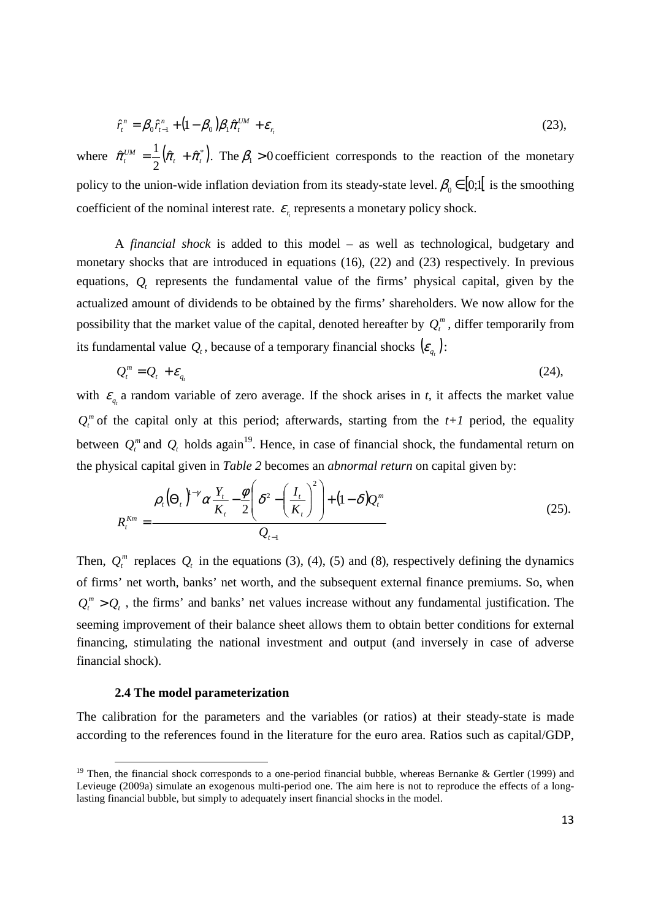$$
\hat{r}_t^n = \beta_0 \hat{r}_{t-1}^n + (1 - \beta_0) \beta_1 \hat{\pi}_t^{UM} + \varepsilon_{r_t}
$$
\n(23),

where  $\hat{\pi}_t^{UM} = \frac{1}{2} (\hat{\pi}_t + \hat{\pi}_t^*)$ . 2  $\hat{\pi}_{i}^{UM} = \frac{1}{2}(\hat{\pi}_{i} + \hat{\pi}_{i}^{*})$ . The  $\beta_{i} > 0$  coefficient corresponds to the reaction of the monetary policy to the union-wide inflation deviation from its steady-state level.  $\beta_0 \in [0;1]$  is the smoothing coefficient of the nominal interest rate.  $\varepsilon$ <sub>r</sub> represents a monetary policy shock.

A *financial shock* is added to this model – as well as technological, budgetary and monetary shocks that are introduced in equations (16), (22) and (23) respectively. In previous equations,  $Q_t$  represents the fundamental value of the firms' physical capital, given by the actualized amount of dividends to be obtained by the firms' shareholders. We now allow for the possibility that the market value of the capital, denoted hereafter by  $Q_t^m$ , differ temporarily from its fundamental value  $Q_t$ , because of a temporary financial shocks  $(\varepsilon_{q_t})$ :

$$
Q_t^m = Q_t + \varepsilon_{q_t} \tag{24}
$$

with  $\varepsilon_{q_i}$  a random variable of zero average. If the shock arises in *t*, it affects the market value  $Q_t^m$  of the capital only at this period; afterwards, starting from the  $t+1$  period, the equality between  $Q_t^m$  and  $Q_t$  holds again<sup>19</sup>. Hence, in case of financial shock, the fundamental return on the physical capital given in *Table 2* becomes an *abnormal return* on capital given by:

$$
R_t^{Km} = \frac{\rho_t(\Theta_t)^{1-\gamma} \alpha \frac{Y_t}{K_t} - \frac{\phi}{2} \left( \delta^2 - \left( \frac{I_t}{K_t} \right)^2 \right) + (1 - \delta) Q_t^m}{Q_{t-1}}
$$
(25).

Then,  $Q_t^m$  replaces  $Q_t$  in the equations (3), (4), (5) and (8), respectively defining the dynamics of firms' net worth, banks' net worth, and the subsequent external finance premiums. So, when  $Q_t^m > Q_t$ , the firms' and banks' net values increase without any fundamental justification. The seeming improvement of their balance sheet allows them to obtain better conditions for external financing, stimulating the national investment and output (and inversely in case of adverse financial shock).

#### **2.4 The model parameterization**

The calibration for the parameters and the variables (or ratios) at their steady-state is made according to the references found in the literature for the euro area. Ratios such as capital/GDP,

<sup>&</sup>lt;sup>19</sup> Then, the financial shock corresponds to a one-period financial bubble, whereas Bernanke & Gertler (1999) and Levieuge (2009a) simulate an exogenous multi-period one. The aim here is not to reproduce the effects of a longlasting financial bubble, but simply to adequately insert financial shocks in the model.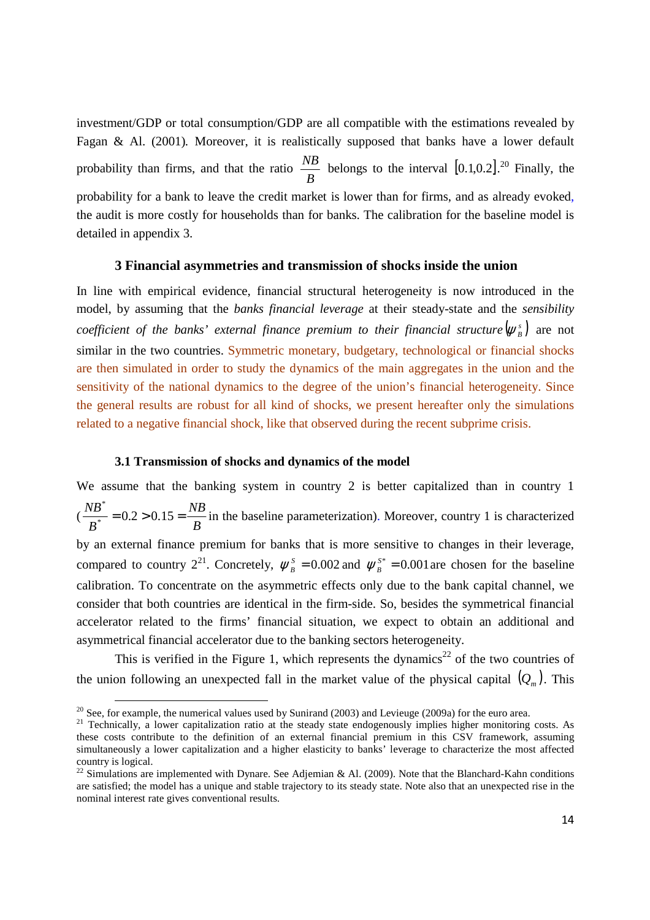investment/GDP or total consumption/GDP are all compatible with the estimations revealed by Fagan & Al. (2001)*.* Moreover, it is realistically supposed that banks have a lower default probability than firms, and that the ratio *B*  $\frac{NB}{2}$  belongs to the interval [0.1,0.2]<sup>20</sup> Finally, the probability for a bank to leave the credit market is lower than for firms, and as already evoked, the audit is more costly for households than for banks. The calibration for the baseline model is detailed in appendix 3.

#### **3 Financial asymmetries and transmission of shocks inside the union**

In line with empirical evidence, financial structural heterogeneity is now introduced in the model, by assuming that the *banks financial leverage* at their steady-state and the *sensibility coefficient of the banks' external finance premium to their financial structure*  $(\psi_{B}^{s})$  are not similar in the two countries. Symmetric monetary, budgetary, technological or financial shocks are then simulated in order to study the dynamics of the main aggregates in the union and the sensitivity of the national dynamics to the degree of the union's financial heterogeneity. Since the general results are robust for all kind of shocks, we present hereafter only the simulations related to a negative financial shock, like that observed during the recent subprime crisis.

#### **3.1 Transmission of shocks and dynamics of the model**

We assume that the banking system in country 2 is better capitalized than in country 1 ( *B NB B*  $\frac{NB^*}{B^*}$  = 0.2 > 0.15 = \* in the baseline parameterization). Moreover, country 1 is characterized by an external finance premium for banks that is more sensitive to changes in their leverage, compared to country  $2^{21}$ . Concretely,  $\psi_B^s = 0.002$  and  $\psi_B^{s*} = 0.001$  are chosen for the baseline calibration. To concentrate on the asymmetric effects only due to the bank capital channel, we consider that both countries are identical in the firm-side. So, besides the symmetrical financial accelerator related to the firms' financial situation, we expect to obtain an additional and asymmetrical financial accelerator due to the banking sectors heterogeneity.

This is verified in the Figure 1, which represents the dynamics<sup>22</sup> of the two countries of the union following an unexpected fall in the market value of the physical capital  $(Q_m)$ . This

֬֒

<sup>&</sup>lt;sup>20</sup> See, for example, the numerical values used by Sunirand (2003) and Levieuge (2009a) for the euro area.

<sup>&</sup>lt;sup>21</sup> Technically, a lower capitalization ratio at the steady state endogenously implies higher monitoring costs. As these costs contribute to the definition of an external financial premium in this CSV framework, assuming simultaneously a lower capitalization and a higher elasticity to banks' leverage to characterize the most affected country is logical.

 $^{22}$  Simulations are implemented with Dynare. See Adjemian & Al. (2009). Note that the Blanchard-Kahn conditions are satisfied; the model has a unique and stable trajectory to its steady state. Note also that an unexpected rise in the nominal interest rate gives conventional results.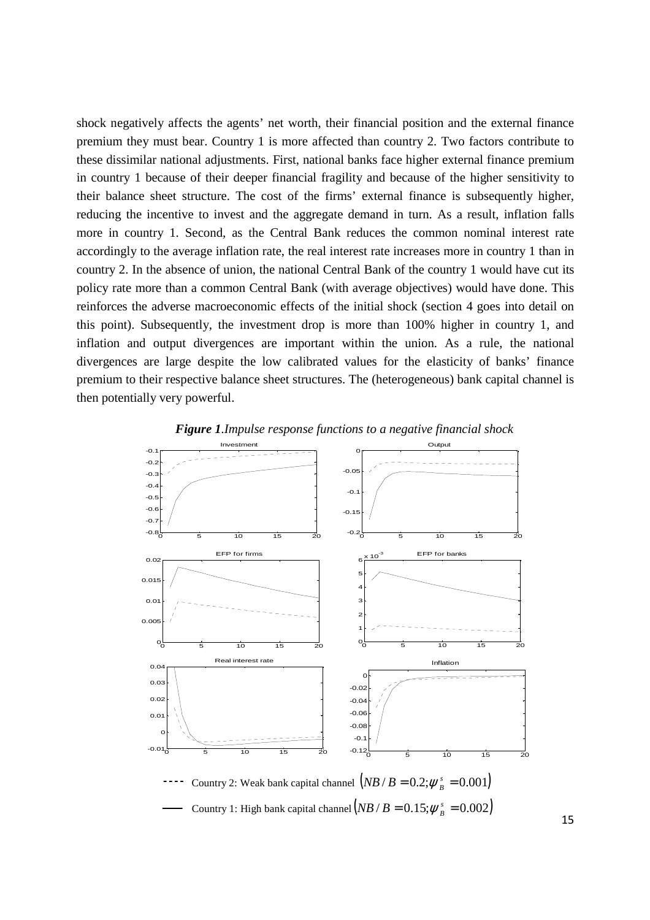shock negatively affects the agents' net worth, their financial position and the external finance premium they must bear. Country 1 is more affected than country 2. Two factors contribute to these dissimilar national adjustments. First, national banks face higher external finance premium in country 1 because of their deeper financial fragility and because of the higher sensitivity to their balance sheet structure. The cost of the firms' external finance is subsequently higher, reducing the incentive to invest and the aggregate demand in turn. As a result, inflation falls more in country 1. Second, as the Central Bank reduces the common nominal interest rate accordingly to the average inflation rate, the real interest rate increases more in country 1 than in country 2. In the absence of union, the national Central Bank of the country 1 would have cut its policy rate more than a common Central Bank (with average objectives) would have done. This reinforces the adverse macroeconomic effects of the initial shock (section 4 goes into detail on this point). Subsequently, the investment drop is more than 100% higher in country 1, and inflation and output divergences are important within the union. As a rule, the national divergences are large despite the low calibrated values for the elasticity of banks' finance premium to their respective balance sheet structures. The (heterogeneous) bank capital channel is then potentially very powerful.



*Figure 1.Impulse response functions to a negative financial shock*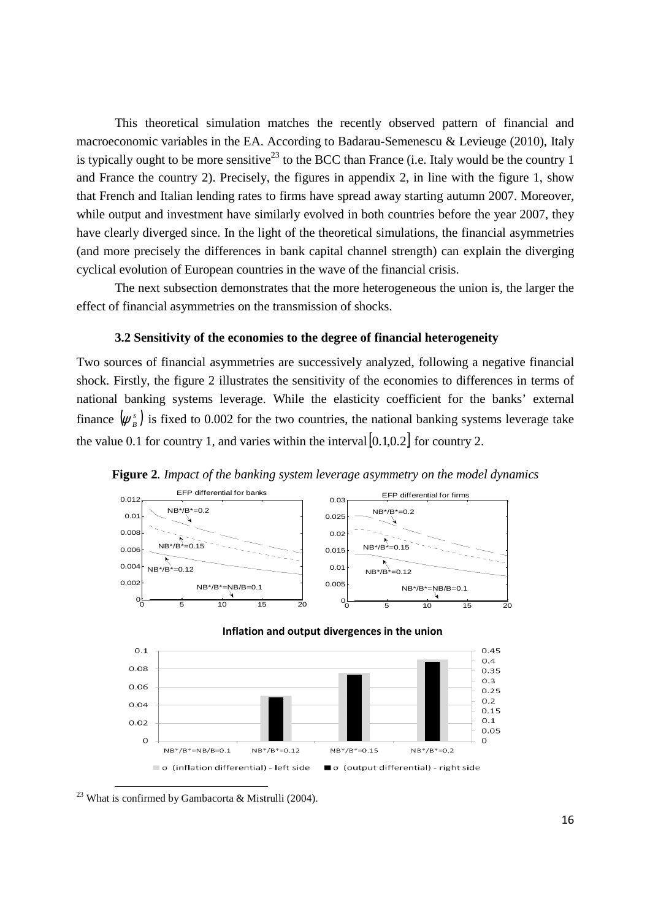This theoretical simulation matches the recently observed pattern of financial and macroeconomic variables in the EA. According to Badarau-Semenescu & Levieuge (2010), Italy is typically ought to be more sensitive<sup>23</sup> to the BCC than France (i.e. Italy would be the country 1 and France the country 2). Precisely, the figures in appendix 2, in line with the figure 1, show that French and Italian lending rates to firms have spread away starting autumn 2007. Moreover, while output and investment have similarly evolved in both countries before the year 2007, they have clearly diverged since. In the light of the theoretical simulations, the financial asymmetries (and more precisely the differences in bank capital channel strength) can explain the diverging cyclical evolution of European countries in the wave of the financial crisis.

The next subsection demonstrates that the more heterogeneous the union is, the larger the effect of financial asymmetries on the transmission of shocks.

#### **3.2 Sensitivity of the economies to the degree of financial heterogeneity**

Two sources of financial asymmetries are successively analyzed, following a negative financial shock. Firstly, the figure 2 illustrates the sensitivity of the economies to differences in terms of national banking systems leverage. While the elasticity coefficient for the banks' external finance  $(\psi_{B}^{s})$  is fixed to 0.002 for the two countries, the national banking systems leverage take the value 0.1 for country 1, and varies within the interval  $[0.1,0.2]$  for country 2.



**Figure 2***. Impact of the banking system leverage asymmetry on the model dynamics* 

<sup>23</sup> What is confirmed by Gambacorta & Mistrulli (2004).

֬֒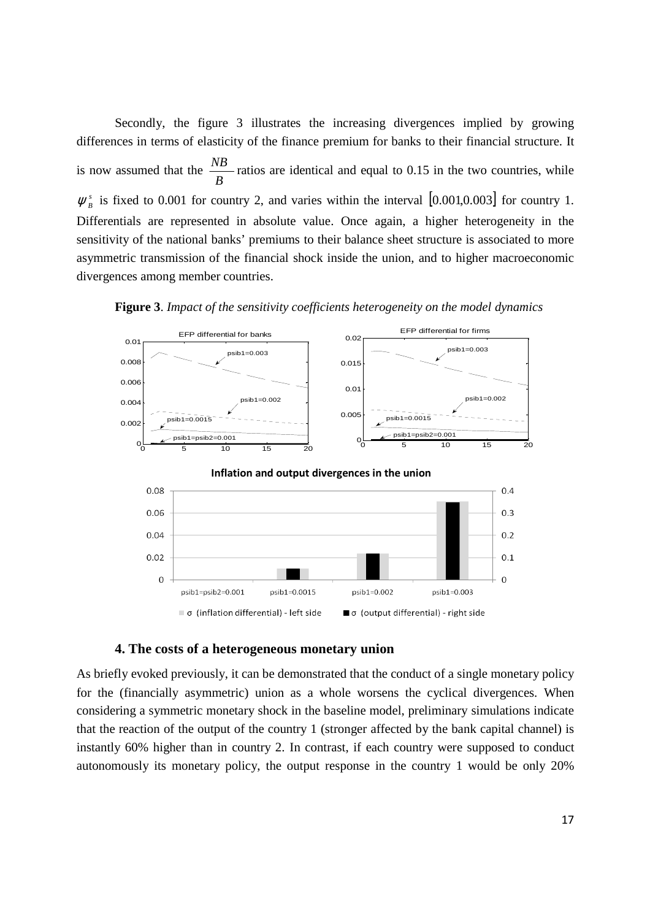Secondly, the figure 3 illustrates the increasing divergences implied by growing differences in terms of elasticity of the finance premium for banks to their financial structure. It is now assumed that the *B*  $\frac{NB}{2}$  ratios are identical and equal to 0.15 in the two countries, while  $\psi_B^s$  is fixed to 0.001 for country 2, and varies within the interval [0.001,0.003] for country 1. Differentials are represented in absolute value. Once again, a higher heterogeneity in the sensitivity of the national banks' premiums to their balance sheet structure is associated to more asymmetric transmission of the financial shock inside the union, and to higher macroeconomic divergences among member countries.



**Figure 3**. *Impact of the sensitivity coefficients heterogeneity on the model dynamics*

#### **4. The costs of a heterogeneous monetary union**

As briefly evoked previously, it can be demonstrated that the conduct of a single monetary policy for the (financially asymmetric) union as a whole worsens the cyclical divergences. When considering a symmetric monetary shock in the baseline model, preliminary simulations indicate that the reaction of the output of the country 1 (stronger affected by the bank capital channel) is instantly 60% higher than in country 2. In contrast, if each country were supposed to conduct autonomously its monetary policy, the output response in the country 1 would be only 20%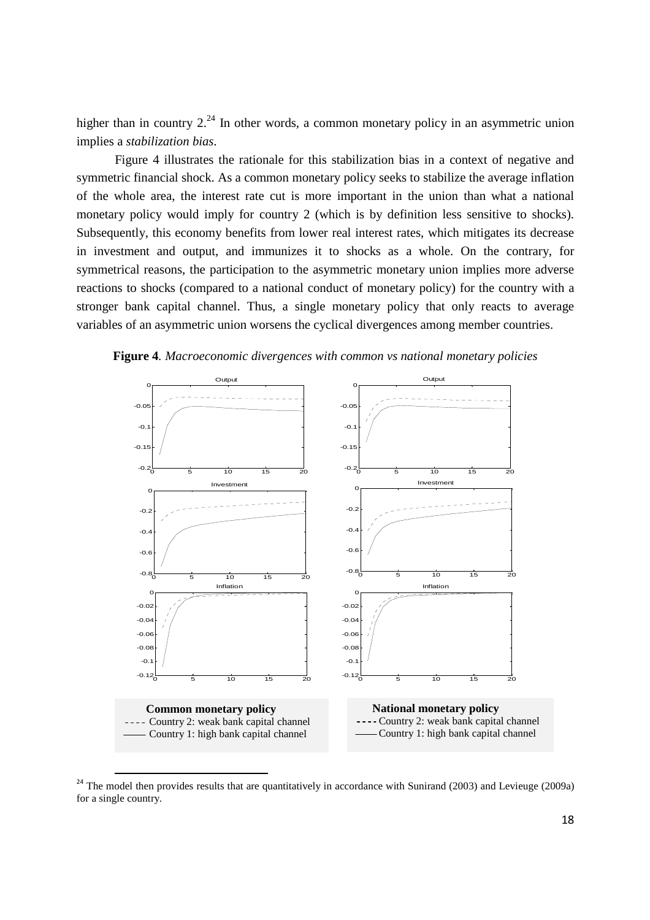higher than in country  $2^{24}$  In other words, a common monetary policy in an asymmetric union implies a *stabilization bias*.

Figure 4 illustrates the rationale for this stabilization bias in a context of negative and symmetric financial shock. As a common monetary policy seeks to stabilize the average inflation of the whole area, the interest rate cut is more important in the union than what a national monetary policy would imply for country 2 (which is by definition less sensitive to shocks). Subsequently, this economy benefits from lower real interest rates, which mitigates its decrease in investment and output, and immunizes it to shocks as a whole. On the contrary, for symmetrical reasons, the participation to the asymmetric monetary union implies more adverse reactions to shocks (compared to a national conduct of monetary policy) for the country with a stronger bank capital channel. Thus, a single monetary policy that only reacts to average variables of an asymmetric union worsens the cyclical divergences among member countries.



**Figure 4***. Macroeconomic divergences with common vs national monetary policies* 

l

<sup>&</sup>lt;sup>24</sup> The model then provides results that are quantitatively in accordance with Sunirand (2003) and Levieuge (2009a) for a single country.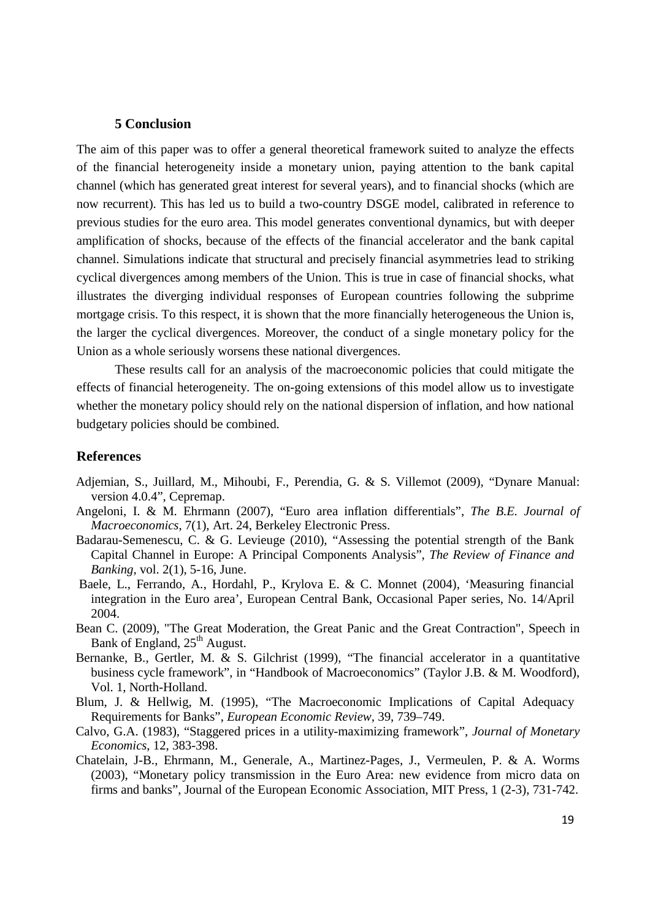#### **5 Conclusion**

The aim of this paper was to offer a general theoretical framework suited to analyze the effects of the financial heterogeneity inside a monetary union, paying attention to the bank capital channel (which has generated great interest for several years), and to financial shocks (which are now recurrent). This has led us to build a two-country DSGE model, calibrated in reference to previous studies for the euro area. This model generates conventional dynamics, but with deeper amplification of shocks, because of the effects of the financial accelerator and the bank capital channel. Simulations indicate that structural and precisely financial asymmetries lead to striking cyclical divergences among members of the Union. This is true in case of financial shocks, what illustrates the diverging individual responses of European countries following the subprime mortgage crisis. To this respect, it is shown that the more financially heterogeneous the Union is, the larger the cyclical divergences. Moreover, the conduct of a single monetary policy for the Union as a whole seriously worsens these national divergences.

These results call for an analysis of the macroeconomic policies that could mitigate the effects of financial heterogeneity. The on-going extensions of this model allow us to investigate whether the monetary policy should rely on the national dispersion of inflation, and how national budgetary policies should be combined.

#### **References**

- Adjemian, S., Juillard, M., Mihoubi, F., Perendia, G. & S. Villemot (2009), "Dynare Manual: version 4.0.4", Cepremap.
- Angeloni, I. & M. Ehrmann (2007), "Euro area inflation differentials", *The B.E. Journal of Macroeconomics*, 7(1), Art. 24, Berkeley Electronic Press.
- Badarau-Semenescu, C. & G. Levieuge (2010), "Assessing the potential strength of the Bank Capital Channel in Europe: A Principal Components Analysis", *The Review of Finance and Banking*, vol. 2(1), 5-16, June.
- Baele, L., Ferrando, A., Hordahl, P., Krylova E. & C. Monnet (2004), 'Measuring financial integration in the Euro area', European Central Bank, Occasional Paper series, No. 14/April 2004.
- Bean C. (2009), "The Great Moderation, the Great Panic and the Great Contraction", Speech in Bank of England,  $25<sup>th</sup>$  August.
- Bernanke, B., Gertler, M.  $\&$  S. Gilchrist (1999), "The financial accelerator in a quantitative business cycle framework", in "Handbook of Macroeconomics" (Taylor J.B. & M. Woodford), Vol. 1, North-Holland.
- Blum, J. & Hellwig, M. (1995), "The Macroeconomic Implications of Capital Adequacy Requirements for Banks", *European Economic Review*, 39, 739–749.
- Calvo, G.A. (1983), "Staggered prices in a utility-maximizing framework", *Journal of Monetary Economics*, 12, 383-398.
- Chatelain, J-B., Ehrmann, M., Generale, A., Martinez-Pages, J., Vermeulen, P. & A. Worms (2003), "Monetary policy transmission in the Euro Area: new evidence from micro data on firms and banks", Journal of the European Economic Association, MIT Press, 1 (2-3), 731-742.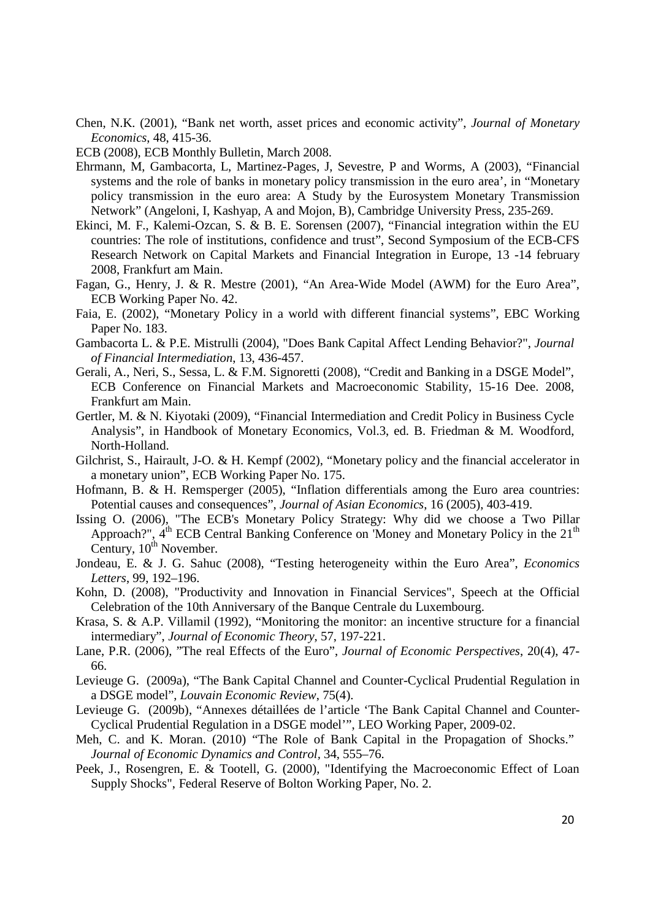Chen, N.K. (2001), "Bank net worth, asset prices and economic activity", *Journal of Monetary Economics*, 48, 415-36.

ECB (2008), ECB Monthly Bulletin, March 2008.

- Ehrmann, M, Gambacorta, L, Martinez-Pages, J, Sevestre, P and Worms, A (2003), "Financial systems and the role of banks in monetary policy transmission in the euro area', in "Monetary policy transmission in the euro area: A Study by the Eurosystem Monetary Transmission Network" (Angeloni, I, Kashyap, A and Mojon, B), Cambridge University Press, 235-269.
- Ekinci, M. F., Kalemi-Ozcan, S. & B. E. Sorensen (2007), "Financial integration within the EU countries: The role of institutions, confidence and trust", Second Symposium of the ECB-CFS Research Network on Capital Markets and Financial Integration in Europe, 13 -14 february 2008, Frankfurt am Main.
- Fagan, G., Henry, J. & R. Mestre (2001), "An Area-Wide Model (AWM) for the Euro Area", ECB Working Paper No. 42.
- Faia, E. (2002), "Monetary Policy in a world with different financial systems", EBC Working Paper No. 183.
- Gambacorta L. & P.E. Mistrulli (2004), "Does Bank Capital Affect Lending Behavior?", *Journal of Financial Intermediation*, 13, 436-457.
- Gerali, A., Neri, S., Sessa, L. & F.M. Signoretti (2008), "Credit and Banking in a DSGE Model", ECB Conference on Financial Markets and Macroeconomic Stability, 15-16 Dee. 2008, Frankfurt am Main.
- Gertler, M. & N. Kiyotaki (2009), "Financial Intermediation and Credit Policy in Business Cycle Analysis", in Handbook of Monetary Economics, Vol.3, ed. B. Friedman & M. Woodford, North-Holland.
- Gilchrist, S., Hairault, J-O. & H. Kempf (2002), "Monetary policy and the financial accelerator in a monetary union", ECB Working Paper No. 175.
- Hofmann, B. & H. Remsperger (2005), "Inflation differentials among the Euro area countries: Potential causes and consequences", *Journal of Asian Economics*, 16 (2005), 403-419.
- Issing O. (2006), "The ECB's Monetary Policy Strategy: Why did we choose a Two Pillar Approach?", 4<sup>th</sup> ECB Central Banking Conference on 'Money and Monetary Policy in the 21<sup>th</sup> Century,  $10^{th}$  November.
- Jondeau, E. & J. G. Sahuc (2008), "Testing heterogeneity within the Euro Area", *Economics Letters*, 99, 192–196.
- Kohn, D. (2008), "Productivity and Innovation in Financial Services", Speech at the Official Celebration of the 10th Anniversary of the Banque Centrale du Luxembourg.
- Krasa, S. & A.P. Villamil (1992), "Monitoring the monitor: an incentive structure for a financial intermediary", *Journal of Economic Theory*, 57, 197-221.
- Lane, P.R. (2006), "The real Effects of the Euro", *Journal of Economic Perspectives*, 20(4), 47- 66.
- Levieuge G. (2009a), "The Bank Capital Channel and Counter-Cyclical Prudential Regulation in a DSGE model", *Louvain Economic Review*, 75(4).
- Levieuge G. (2009b), "Annexes détaillées de l'article 'The Bank Capital Channel and Counter-Cyclical Prudential Regulation in a DSGE model'", LEO Working Paper, 2009-02.
- Meh, C. and K. Moran. (2010) "The Role of Bank Capital in the Propagation of Shocks." *Journal of Economic Dynamics and Control,* 34, 555–76.
- Peek, J., Rosengren, E. & Tootell, G. (2000), "Identifying the Macroeconomic Effect of Loan Supply Shocks", Federal Reserve of Bolton Working Paper, No. 2.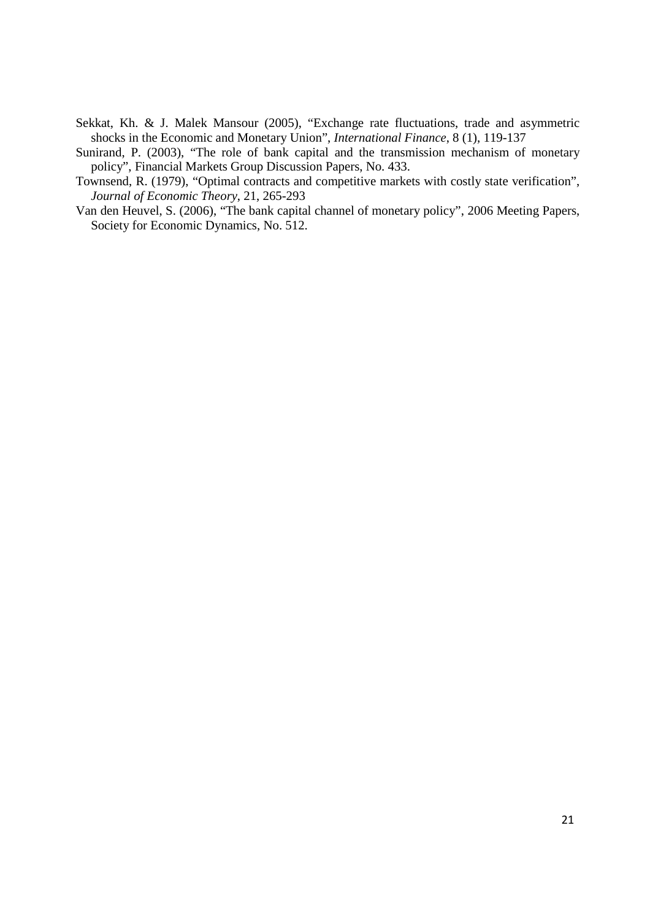- Sekkat, Kh. & J. Malek Mansour (2005), "Exchange rate fluctuations, trade and asymmetric shocks in the Economic and Monetary Union", *International Finance*, 8 (1), 119-137
- Sunirand, P. (2003), "The role of bank capital and the transmission mechanism of monetary policy", Financial Markets Group Discussion Papers, No. 433.
- Townsend, R. (1979), "Optimal contracts and competitive markets with costly state verification", *Journal of Economic Theory*, 21, 265-293
- Van den Heuvel, S. (2006), "The bank capital channel of monetary policy", 2006 Meeting Papers, Society for Economic Dynamics, No. 512.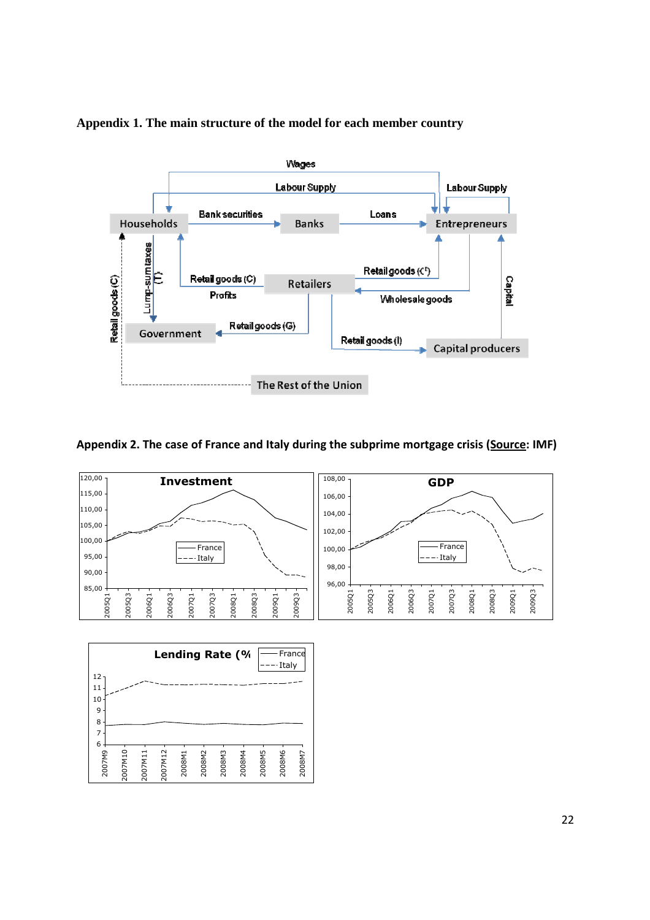

**Appendix 1. The main structure of the model for each member country** 

### **Appendix 2. The case of France and Italy during the subprime mortgage crisis (Source: IMF)**